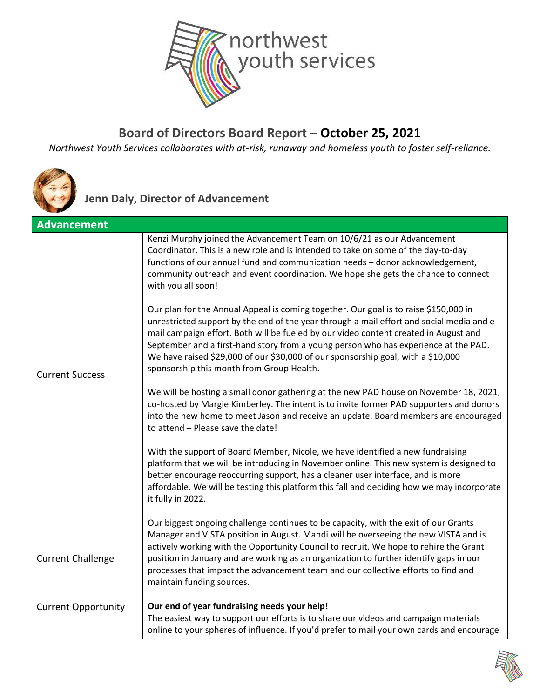

#### **Board of Directors Board Report – October 25, 2021**

*Northwest Youth Services collaborates with at-risk, runaway and homeless youth to foster self-reliance.*



**Jenn Daly, Director of Advancement**

| <b>Advancement</b>         |                                                                                                                                                                                                                                                                                                                                                                                                                                                                                                   |
|----------------------------|---------------------------------------------------------------------------------------------------------------------------------------------------------------------------------------------------------------------------------------------------------------------------------------------------------------------------------------------------------------------------------------------------------------------------------------------------------------------------------------------------|
|                            | Kenzi Murphy joined the Advancement Team on 10/6/21 as our Advancement<br>Coordinator. This is a new role and is intended to take on some of the day-to-day<br>functions of our annual fund and communication needs - donor acknowledgement,<br>community outreach and event coordination. We hope she gets the chance to connect<br>with you all soon!                                                                                                                                           |
| <b>Current Success</b>     | Our plan for the Annual Appeal is coming together. Our goal is to raise \$150,000 in<br>unrestricted support by the end of the year through a mail effort and social media and e-<br>mail campaign effort. Both will be fueled by our video content created in August and<br>September and a first-hand story from a young person who has experience at the PAD.<br>We have raised \$29,000 of our \$30,000 of our sponsorship goal, with a \$10,000<br>sponsorship this month from Group Health. |
|                            | We will be hosting a small donor gathering at the new PAD house on November 18, 2021,<br>co-hosted by Margie Kimberley. The intent is to invite former PAD supporters and donors<br>into the new home to meet Jason and receive an update. Board members are encouraged<br>to attend - Please save the date!                                                                                                                                                                                      |
|                            | With the support of Board Member, Nicole, we have identified a new fundraising<br>platform that we will be introducing in November online. This new system is designed to<br>better encourage reoccurring support, has a cleaner user interface, and is more<br>affordable. We will be testing this platform this fall and deciding how we may incorporate<br>it fully in 2022.                                                                                                                   |
| <b>Current Challenge</b>   | Our biggest ongoing challenge continues to be capacity, with the exit of our Grants<br>Manager and VISTA position in August. Mandi will be overseeing the new VISTA and is<br>actively working with the Opportunity Council to recruit. We hope to rehire the Grant<br>position in January and are working as an organization to further identify gaps in our<br>processes that impact the advancement team and our collective efforts to find and<br>maintain funding sources.                   |
| <b>Current Opportunity</b> | Our end of year fundraising needs your help!<br>The easiest way to support our efforts is to share our videos and campaign materials<br>online to your spheres of influence. If you'd prefer to mail your own cards and encourage                                                                                                                                                                                                                                                                 |

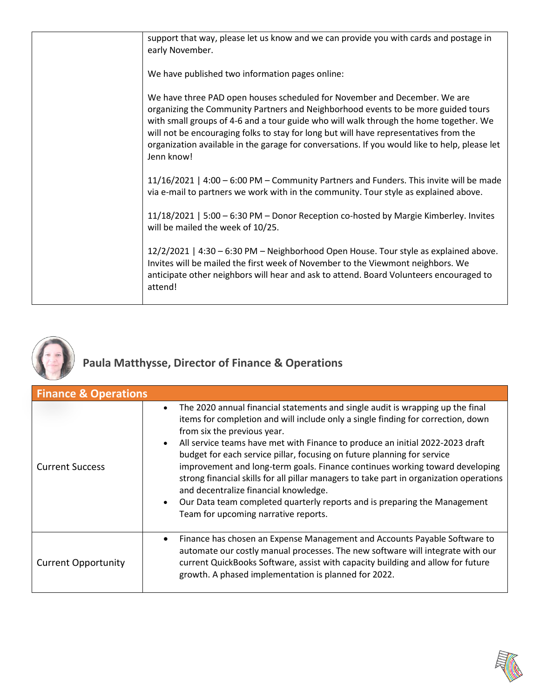|  | support that way, please let us know and we can provide you with cards and postage in<br>early November.                                                                                                                                                                                                                                                                                                                                                        |
|--|-----------------------------------------------------------------------------------------------------------------------------------------------------------------------------------------------------------------------------------------------------------------------------------------------------------------------------------------------------------------------------------------------------------------------------------------------------------------|
|  | We have published two information pages online:                                                                                                                                                                                                                                                                                                                                                                                                                 |
|  | We have three PAD open houses scheduled for November and December. We are<br>organizing the Community Partners and Neighborhood events to be more guided tours<br>with small groups of 4-6 and a tour guide who will walk through the home together. We<br>will not be encouraging folks to stay for long but will have representatives from the<br>organization available in the garage for conversations. If you would like to help, please let<br>Jenn know! |
|  | 11/16/2021   4:00 - 6:00 PM - Community Partners and Funders. This invite will be made<br>via e-mail to partners we work with in the community. Tour style as explained above.                                                                                                                                                                                                                                                                                  |
|  | 11/18/2021   5:00 - 6:30 PM - Donor Reception co-hosted by Margie Kimberley. Invites<br>will be mailed the week of 10/25.                                                                                                                                                                                                                                                                                                                                       |
|  | 12/2/2021   4:30 - 6:30 PM - Neighborhood Open House. Tour style as explained above.<br>Invites will be mailed the first week of November to the Viewmont neighbors. We<br>anticipate other neighbors will hear and ask to attend. Board Volunteers encouraged to<br>attend!                                                                                                                                                                                    |
|  |                                                                                                                                                                                                                                                                                                                                                                                                                                                                 |



# **Paula Matthysse, Director of Finance & Operations**

| <b>Finance &amp; Operations</b> |                                                                                                                                                                                                                                                                                                                                                                                                                                                                                                                                                                                                                                                                                                                     |
|---------------------------------|---------------------------------------------------------------------------------------------------------------------------------------------------------------------------------------------------------------------------------------------------------------------------------------------------------------------------------------------------------------------------------------------------------------------------------------------------------------------------------------------------------------------------------------------------------------------------------------------------------------------------------------------------------------------------------------------------------------------|
| <b>Current Success</b>          | The 2020 annual financial statements and single audit is wrapping up the final<br>$\bullet$<br>items for completion and will include only a single finding for correction, down<br>from six the previous year.<br>All service teams have met with Finance to produce an initial 2022-2023 draft<br>budget for each service pillar, focusing on future planning for service<br>improvement and long-term goals. Finance continues working toward developing<br>strong financial skills for all pillar managers to take part in organization operations<br>and decentralize financial knowledge.<br>Our Data team completed quarterly reports and is preparing the Management<br>Team for upcoming narrative reports. |
| <b>Current Opportunity</b>      | Finance has chosen an Expense Management and Accounts Payable Software to<br>$\bullet$<br>automate our costly manual processes. The new software will integrate with our<br>current QuickBooks Software, assist with capacity building and allow for future<br>growth. A phased implementation is planned for 2022.                                                                                                                                                                                                                                                                                                                                                                                                 |

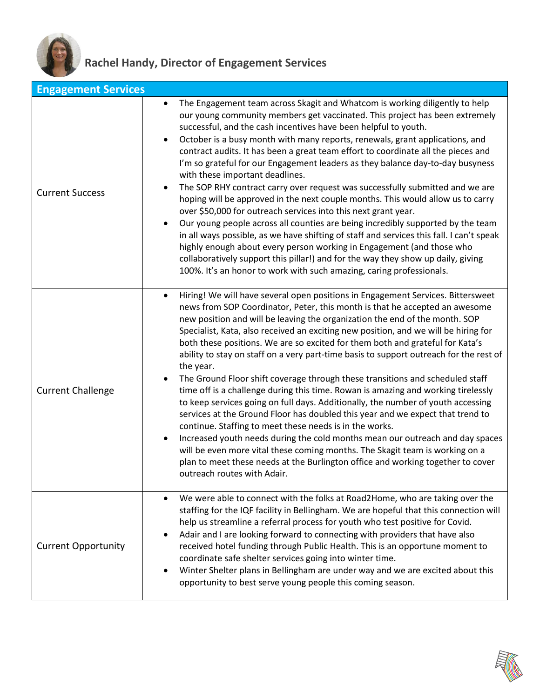

## **Rachel Handy, Director of Engagement Services**

| <b>Engagement Services</b> |                                                                                                                                                                                                                                                                                                                                                                                                                                                                                                                                                                                                                                                                                                                                                                                                                                                                                                                                                                                                                                                                                                                                                                                                                        |
|----------------------------|------------------------------------------------------------------------------------------------------------------------------------------------------------------------------------------------------------------------------------------------------------------------------------------------------------------------------------------------------------------------------------------------------------------------------------------------------------------------------------------------------------------------------------------------------------------------------------------------------------------------------------------------------------------------------------------------------------------------------------------------------------------------------------------------------------------------------------------------------------------------------------------------------------------------------------------------------------------------------------------------------------------------------------------------------------------------------------------------------------------------------------------------------------------------------------------------------------------------|
| <b>Current Success</b>     | The Engagement team across Skagit and Whatcom is working diligently to help<br>$\bullet$<br>our young community members get vaccinated. This project has been extremely<br>successful, and the cash incentives have been helpful to youth.<br>October is a busy month with many reports, renewals, grant applications, and<br>contract audits. It has been a great team effort to coordinate all the pieces and<br>I'm so grateful for our Engagement leaders as they balance day-to-day busyness<br>with these important deadlines.<br>The SOP RHY contract carry over request was successfully submitted and we are<br>hoping will be approved in the next couple months. This would allow us to carry<br>over \$50,000 for outreach services into this next grant year.<br>Our young people across all counties are being incredibly supported by the team<br>in all ways possible, as we have shifting of staff and services this fall. I can't speak<br>highly enough about every person working in Engagement (and those who<br>collaboratively support this pillar!) and for the way they show up daily, giving<br>100%. It's an honor to work with such amazing, caring professionals.                         |
| <b>Current Challenge</b>   | Hiring! We will have several open positions in Engagement Services. Bittersweet<br>news from SOP Coordinator, Peter, this month is that he accepted an awesome<br>new position and will be leaving the organization the end of the month. SOP<br>Specialist, Kata, also received an exciting new position, and we will be hiring for<br>both these positions. We are so excited for them both and grateful for Kata's<br>ability to stay on staff on a very part-time basis to support outreach for the rest of<br>the year.<br>The Ground Floor shift coverage through these transitions and scheduled staff<br>time off is a challenge during this time. Rowan is amazing and working tirelessly<br>to keep services going on full days. Additionally, the number of youth accessing<br>services at the Ground Floor has doubled this year and we expect that trend to<br>continue. Staffing to meet these needs is in the works.<br>Increased youth needs during the cold months mean our outreach and day spaces<br>will be even more vital these coming months. The Skagit team is working on a<br>plan to meet these needs at the Burlington office and working together to cover<br>outreach routes with Adair. |
| <b>Current Opportunity</b> | We were able to connect with the folks at Road2Home, who are taking over the<br>staffing for the IQF facility in Bellingham. We are hopeful that this connection will<br>help us streamline a referral process for youth who test positive for Covid.<br>Adair and I are looking forward to connecting with providers that have also<br>received hotel funding through Public Health. This is an opportune moment to<br>coordinate safe shelter services going into winter time.<br>Winter Shelter plans in Bellingham are under way and we are excited about this<br>opportunity to best serve young people this coming season.                                                                                                                                                                                                                                                                                                                                                                                                                                                                                                                                                                                       |

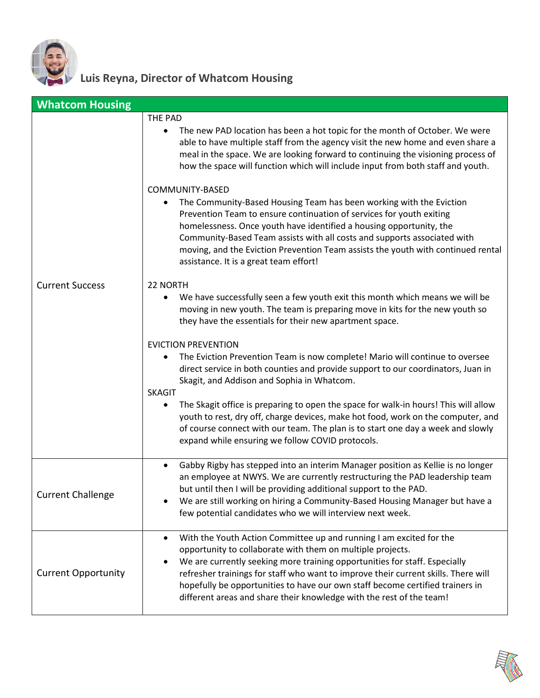

## **Luis Reyna, Director of Whatcom Housing**

| <b>Whatcom Housing</b>     |                                                                                                                                                                                                                                                                                                                                                       |
|----------------------------|-------------------------------------------------------------------------------------------------------------------------------------------------------------------------------------------------------------------------------------------------------------------------------------------------------------------------------------------------------|
|                            | THE PAD                                                                                                                                                                                                                                                                                                                                               |
|                            | The new PAD location has been a hot topic for the month of October. We were<br>٠<br>able to have multiple staff from the agency visit the new home and even share a<br>meal in the space. We are looking forward to continuing the visioning process of<br>how the space will function which will include input from both staff and youth.            |
|                            | COMMUNITY-BASED<br>The Community-Based Housing Team has been working with the Eviction<br>$\bullet$                                                                                                                                                                                                                                                   |
|                            | Prevention Team to ensure continuation of services for youth exiting<br>homelessness. Once youth have identified a housing opportunity, the<br>Community-Based Team assists with all costs and supports associated with<br>moving, and the Eviction Prevention Team assists the youth with continued rental<br>assistance. It is a great team effort! |
| <b>Current Success</b>     | 22 NORTH                                                                                                                                                                                                                                                                                                                                              |
|                            | We have successfully seen a few youth exit this month which means we will be<br>$\bullet$<br>moving in new youth. The team is preparing move in kits for the new youth so<br>they have the essentials for their new apartment space.                                                                                                                  |
|                            | <b>EVICTION PREVENTION</b>                                                                                                                                                                                                                                                                                                                            |
|                            | The Eviction Prevention Team is now complete! Mario will continue to oversee<br>direct service in both counties and provide support to our coordinators, Juan in<br>Skagit, and Addison and Sophia in Whatcom.<br><b>SKAGIT</b>                                                                                                                       |
|                            | The Skagit office is preparing to open the space for walk-in hours! This will allow<br>youth to rest, dry off, charge devices, make hot food, work on the computer, and<br>of course connect with our team. The plan is to start one day a week and slowly<br>expand while ensuring we follow COVID protocols.                                        |
|                            | Gabby Rigby has stepped into an interim Manager position as Kellie is no longer<br>$\bullet$<br>an employee at NWYS. We are currently restructuring the PAD leadership team<br>but until then I will be providing additional support to the PAD.                                                                                                      |
| <b>Current Challenge</b>   | We are still working on hiring a Community-Based Housing Manager but have a<br>few potential candidates who we will interview next week.                                                                                                                                                                                                              |
|                            | With the Youth Action Committee up and running I am excited for the<br>$\bullet$                                                                                                                                                                                                                                                                      |
|                            | opportunity to collaborate with them on multiple projects.<br>We are currently seeking more training opportunities for staff. Especially                                                                                                                                                                                                              |
| <b>Current Opportunity</b> | refresher trainings for staff who want to improve their current skills. There will<br>hopefully be opportunities to have our own staff become certified trainers in<br>different areas and share their knowledge with the rest of the team!                                                                                                           |

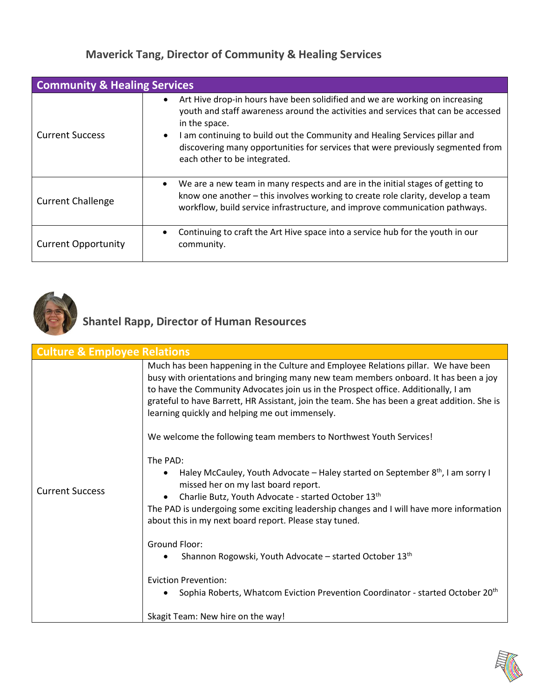#### **Maverick Tang, Director of Community & Healing Services**

| <b>Community &amp; Healing Services</b> |                                                                                                                                                                                                                                                                                                                                                                                     |
|-----------------------------------------|-------------------------------------------------------------------------------------------------------------------------------------------------------------------------------------------------------------------------------------------------------------------------------------------------------------------------------------------------------------------------------------|
| <b>Current Success</b>                  | Art Hive drop-in hours have been solidified and we are working on increasing<br>youth and staff awareness around the activities and services that can be accessed<br>in the space.<br>I am continuing to build out the Community and Healing Services pillar and<br>discovering many opportunities for services that were previously segmented from<br>each other to be integrated. |
| <b>Current Challenge</b>                | We are a new team in many respects and are in the initial stages of getting to<br>know one another – this involves working to create role clarity, develop a team<br>workflow, build service infrastructure, and improve communication pathways.                                                                                                                                    |
| <b>Current Opportunity</b>              | Continuing to craft the Art Hive space into a service hub for the youth in our<br>community.                                                                                                                                                                                                                                                                                        |



## **Shantel Rapp, Director of Human Resources**

| Much has been happening in the Culture and Employee Relations pillar. We have been<br>busy with orientations and bringing many new team members onboard. It has been a joy<br>to have the Community Advocates join us in the Prospect office. Additionally, I am<br>grateful to have Barrett, HR Assistant, join the team. She has been a great addition. She is<br>learning quickly and helping me out immensely.<br>We welcome the following team members to Northwest Youth Services!<br>The PAD:<br>Haley McCauley, Youth Advocate – Haley started on September $8th$ , I am sorry I<br>missed her on my last board report.<br><b>Current Success</b><br>Charlie Butz, Youth Advocate - started October 13th<br>about this in my next board report. Please stay tuned.<br>Ground Floor:<br>Shannon Rogowski, Youth Advocate - started October 13th<br><b>Eviction Prevention:</b><br>Sophia Roberts, Whatcom Eviction Prevention Coordinator - started October 20 <sup>th</sup> | <b>Culture &amp; Employee Relations</b> |                                                                                         |
|-------------------------------------------------------------------------------------------------------------------------------------------------------------------------------------------------------------------------------------------------------------------------------------------------------------------------------------------------------------------------------------------------------------------------------------------------------------------------------------------------------------------------------------------------------------------------------------------------------------------------------------------------------------------------------------------------------------------------------------------------------------------------------------------------------------------------------------------------------------------------------------------------------------------------------------------------------------------------------------|-----------------------------------------|-----------------------------------------------------------------------------------------|
|                                                                                                                                                                                                                                                                                                                                                                                                                                                                                                                                                                                                                                                                                                                                                                                                                                                                                                                                                                                     |                                         |                                                                                         |
|                                                                                                                                                                                                                                                                                                                                                                                                                                                                                                                                                                                                                                                                                                                                                                                                                                                                                                                                                                                     |                                         |                                                                                         |
| Skagit Team: New hire on the way!                                                                                                                                                                                                                                                                                                                                                                                                                                                                                                                                                                                                                                                                                                                                                                                                                                                                                                                                                   |                                         | The PAD is undergoing some exciting leadership changes and I will have more information |

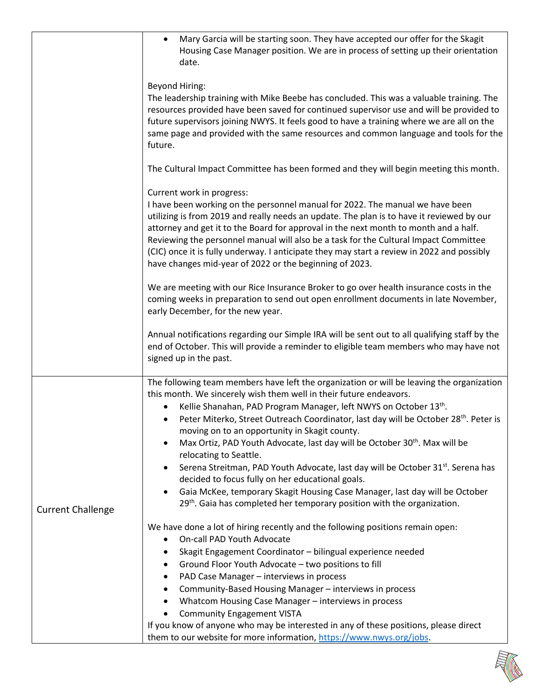|                          | Mary Garcia will be starting soon. They have accepted our offer for the Skagit<br>$\bullet$                                                                                          |
|--------------------------|--------------------------------------------------------------------------------------------------------------------------------------------------------------------------------------|
|                          | Housing Case Manager position. We are in process of setting up their orientation                                                                                                     |
|                          | date.                                                                                                                                                                                |
|                          |                                                                                                                                                                                      |
|                          | <b>Beyond Hiring:</b>                                                                                                                                                                |
|                          | The leadership training with Mike Beebe has concluded. This was a valuable training. The                                                                                             |
|                          | resources provided have been saved for continued supervisor use and will be provided to<br>future supervisors joining NWYS. It feels good to have a training where we are all on the |
|                          | same page and provided with the same resources and common language and tools for the                                                                                                 |
|                          | future.                                                                                                                                                                              |
|                          |                                                                                                                                                                                      |
|                          | The Cultural Impact Committee has been formed and they will begin meeting this month.                                                                                                |
|                          | Current work in progress:                                                                                                                                                            |
|                          | I have been working on the personnel manual for 2022. The manual we have been                                                                                                        |
|                          | utilizing is from 2019 and really needs an update. The plan is to have it reviewed by our                                                                                            |
|                          | attorney and get it to the Board for approval in the next month to month and a half.                                                                                                 |
|                          | Reviewing the personnel manual will also be a task for the Cultural Impact Committee<br>(CIC) once it is fully underway. I anticipate they may start a review in 2022 and possibly   |
|                          | have changes mid-year of 2022 or the beginning of 2023.                                                                                                                              |
|                          |                                                                                                                                                                                      |
|                          | We are meeting with our Rice Insurance Broker to go over health insurance costs in the                                                                                               |
|                          | coming weeks in preparation to send out open enrollment documents in late November,                                                                                                  |
|                          | early December, for the new year.                                                                                                                                                    |
|                          | Annual notifications regarding our Simple IRA will be sent out to all qualifying staff by the                                                                                        |
|                          | end of October. This will provide a reminder to eligible team members who may have not                                                                                               |
|                          | signed up in the past.                                                                                                                                                               |
|                          |                                                                                                                                                                                      |
|                          | The following team members have left the organization or will be leaving the organization                                                                                            |
|                          | this month. We sincerely wish them well in their future endeavors.<br>Kellie Shanahan, PAD Program Manager, left NWYS on October 13th.                                               |
|                          | Peter Miterko, Street Outreach Coordinator, last day will be October 28 <sup>th</sup> . Peter is<br>$\bullet$                                                                        |
|                          | moving on to an opportunity in Skagit county.                                                                                                                                        |
|                          | Max Ortiz, PAD Youth Advocate, last day will be October 30 <sup>th</sup> . Max will be                                                                                               |
|                          | relocating to Seattle.                                                                                                                                                               |
|                          | Serena Streitman, PAD Youth Advocate, last day will be October 31 <sup>st</sup> . Serena has                                                                                         |
|                          | decided to focus fully on her educational goals.                                                                                                                                     |
|                          | Gaia McKee, temporary Skagit Housing Case Manager, last day will be October<br>29 <sup>th</sup> . Gaia has completed her temporary position with the organization.                   |
| <b>Current Challenge</b> |                                                                                                                                                                                      |
|                          | We have done a lot of hiring recently and the following positions remain open:                                                                                                       |
|                          | On-call PAD Youth Advocate                                                                                                                                                           |
|                          | Skagit Engagement Coordinator - bilingual experience needed<br>٠                                                                                                                     |
|                          | Ground Floor Youth Advocate - two positions to fill<br>٠                                                                                                                             |
|                          | PAD Case Manager - interviews in process<br>٠                                                                                                                                        |
|                          | Community-Based Housing Manager - interviews in process<br>$\bullet$                                                                                                                 |
|                          | Whatcom Housing Case Manager - interviews in process<br>٠<br><b>Community Engagement VISTA</b>                                                                                       |
|                          | If you know of anyone who may be interested in any of these positions, please direct                                                                                                 |
|                          | them to our website for more information, https://www.nwys.org/jobs.                                                                                                                 |